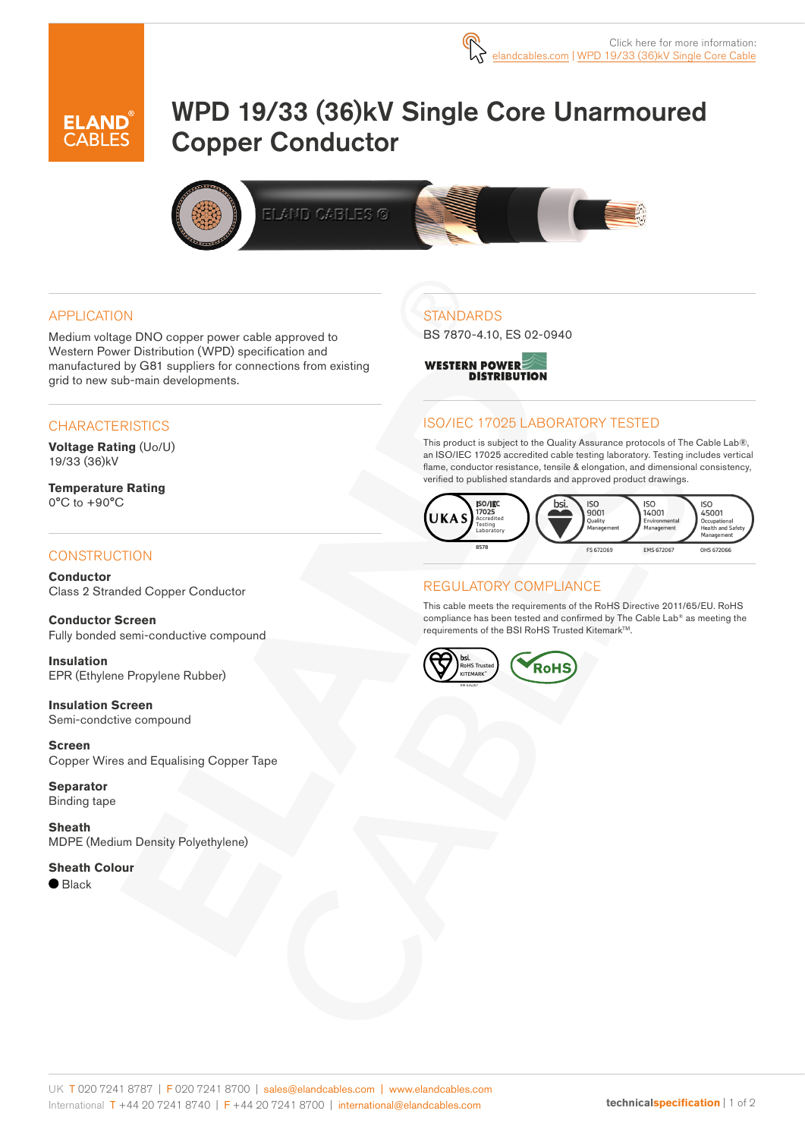# WPD 19/33 (36)kV Single Core Unarmoured Copper Conductor



#### APPLICATION

Medium voltage DNO copper power cable approved to Western Power Distribution (WPD) specification and manufactured by G81 suppliers for connections from existing grid to new sub-main developments.

#### **CHARACTERISTICS**

**Voltage Rating** (Uo/U) 19/33 (36)kV

**Temperature Rating** 0°C to +90°C

## **CONSTRUCTION**

**Conductor** Class 2 Stranded Copper Conductor

**Conductor Screen** Fully bonded semi-conductive compound

**Insulation** EPR (Ethylene Propylene Rubber)

**Insulation Screen** Semi-condctive compound

**Screen** Copper Wires and Equalising Copper Tape

**Separator** Binding tape

**Sheath** MDPE (Medium Density Polyethylene)

#### **Sheath Colour**

● Black

## **STANDARDS**

BS 7870-4.10, ES 02-0940



## ISO/IEC 17025 LABORATORY TESTED

This product is subject to the Quality Assurance protocols of The Cable Lab®, an ISO/IEC 17025 accredited cable testing laboratory. Testing includes vertical flame, conductor resistance, tensile & elongation, and dimensional consistency, verified to published standards and approved product drawings.



## REGULATORY COMPLIANCE

This cable meets the requirements of the RoHS Directive 2011/65/EU. RoHS compliance has been tested and confirmed by The Cable Lab® as meeting the requirements of the BSI RoHS Trusted Kitemark<sup>™</sup>